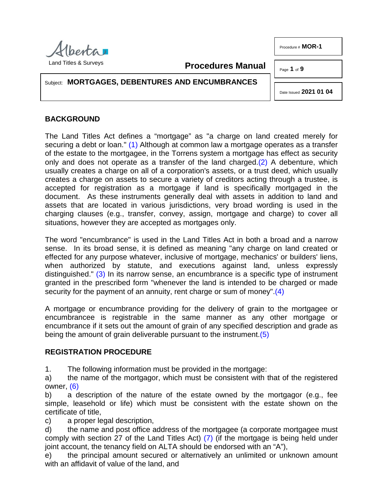

Procedure # **MOR-1**

Page **1** of **9**

Subject: **MORTGAGES, DEBENTURES AND ENCUMBRANCES**

<span id="page-0-3"></span><span id="page-0-1"></span>Date Issued **2021 01 04**

# **BACKGROUND**

<span id="page-0-0"></span>The Land Titles Act defines a "mortgage" as "a charge on land created merely for securing a debt or loan." [\(1\)](#page-8-0) Although at common law a mortgage operates as a transfer of the estate to the mortgagee, in the Torrens system a mortgage has effect as security only and does not operate as a transfer of the land charged[.\(2\)](#page-8-1) A debenture, which usually creates a charge on all of a corporation's assets, or a trust deed, which usually creates a charge on assets to secure a variety of creditors acting through a trustee, is accepted for registration as a mortgage if land is specifically mortgaged in the document. As these instruments generally deal with assets in addition to land and assets that are located in various jurisdictions, very broad wording is used in the charging clauses (e.g., transfer, convey, assign, mortgage and charge) to cover all situations, however they are accepted as mortgages only.

**Procedures Manual**

<span id="page-0-2"></span>The word "encumbrance" is used in the Land Titles Act in both a broad and a narrow sense. In its broad sense, it is defined as meaning "any charge on land created or effected for any purpose whatever, inclusive of mortgage, mechanics' or builders' liens, when authorized by statute, and executions against land, unless expressly distinguished." [\(3\)](#page-8-2) In its narrow sense, an encumbrance is a specific type of instrument granted in the prescribed form "whenever the land is intended to be charged or made security for the payment of an annuity, rent charge or sum of money"[.\(4\)](#page-8-3)

A mortgage or encumbrance providing for the delivery of grain to the mortgagee or encumbrancee is registrable in the same manner as any other mortgage or encumbrance if it sets out the amount of grain of any specified description and grade as being the amount of grain deliverable pursuant to the instrument[.\(5\)](#page-8-4)

## <span id="page-0-4"></span>**REGISTRATION PROCEDURE**

1. The following information must be provided in the mortgage:

<span id="page-0-5"></span>a) the name of the mortgagor, which must be consistent with that of the registered owner, [\(6\)](#page-8-5)

b) a description of the nature of the estate owned by the mortgagor (e.g., fee simple, leasehold or life) which must be consistent with the estate shown on the certificate of title,

c) a proper legal description,

<span id="page-0-6"></span>d) the name and post office address of the mortgagee (a corporate mortgagee must comply with section 27 of the Land Titles Act) [\(7\)](#page-8-6) (if the mortgage is being held under joint account, the tenancy field on ALTA should be endorsed with an "A"),

e) the principal amount secured or alternatively an unlimited or unknown amount with an affidavit of value of the land, and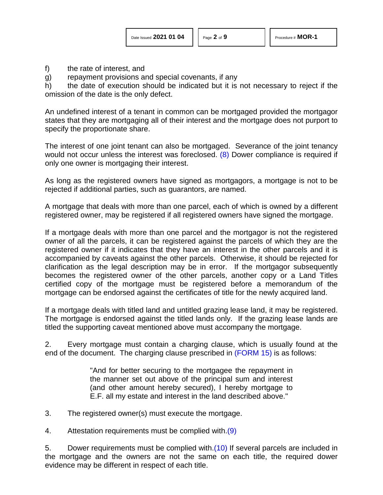f) the rate of interest, and

g) repayment provisions and special covenants, if any

h) the date of execution should be indicated but it is not necessary to reject if the omission of the date is the only defect.

An undefined interest of a tenant in common can be mortgaged provided the mortgagor states that they are mortgaging all of their interest and the mortgage does not purport to specify the proportionate share.

<span id="page-1-0"></span>The interest of one joint tenant can also be mortgaged. Severance of the joint tenancy would not occur unless the interest was foreclosed. [\(8\)](#page-8-7) Dower compliance is required if only one owner is mortgaging their interest.

As long as the registered owners have signed as mortgagors, a mortgage is not to be rejected if additional parties, such as guarantors, are named.

A mortgage that deals with more than one parcel, each of which is owned by a different registered owner, may be registered if all registered owners have signed the mortgage.

If a mortgage deals with more than one parcel and the mortgagor is not the registered owner of all the parcels, it can be registered against the parcels of which they are the registered owner if it indicates that they have an interest in the other parcels and it is accompanied by caveats against the other parcels. Otherwise, it should be rejected for clarification as the legal description may be in error. If the mortgagor subsequently becomes the registered owner of the other parcels, another copy or a Land Titles certified copy of the mortgage must be registered before a memorandum of the mortgage can be endorsed against the certificates of title for the newly acquired land.

If a mortgage deals with titled land and untitled grazing lease land, it may be registered. The mortgage is endorsed against the titled lands only. If the grazing lease lands are titled the supporting caveat mentioned above must accompany the mortgage.

2. Every mortgage must contain a charging clause, which is usually found at the end of the document. The charging clause prescribed in [\(FORM 15\)](http://www.servicealberta.ca/pdf/ltmanual/FORM15.PDF) is as follows:

> <span id="page-1-2"></span><span id="page-1-1"></span>"And for better securing to the mortgagee the repayment in the manner set out above of the principal sum and interest (and other amount hereby secured), I hereby mortgage to E.F. all my estate and interest in the land described above."

3. The registered owner(s) must execute the mortgage.

4. Attestation requirements must be complied with[.\(9\)](#page-8-8)

5. Dower requirements must be complied with[.\(10\)](#page-8-8) If several parcels are included in the mortgage and the owners are not the same on each title, the required dower evidence may be different in respect of each title.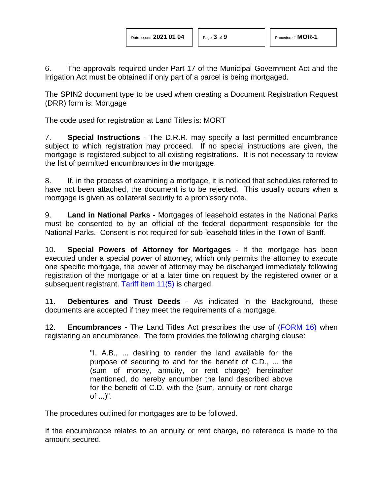6. The approvals required under Part 17 of the Municipal Government Act and the Irrigation Act must be obtained if only part of a parcel is being mortgaged.

The SPIN2 document type to be used when creating a Document Registration Request (DRR) form is: Mortgage

The code used for registration at Land Titles is: MORT

7. **Special Instructions** - The D.R.R. may specify a last permitted encumbrance subject to which registration may proceed. If no special instructions are given, the mortgage is registered subject to all existing registrations. It is not necessary to review the list of permitted encumbrances in the mortgage.

8. If, in the process of examining a mortgage, it is noticed that schedules referred to have not been attached, the document is to be rejected. This usually occurs when a mortgage is given as collateral security to a promissory note.

9. **Land in National Parks** - Mortgages of leasehold estates in the National Parks must be consented to by an official of the federal department responsible for the National Parks. Consent is not required for sub-leasehold titles in the Town of Banff.

10. **Special Powers of Attorney for Mortgages** - If the mortgage has been executed under a special power of attorney, which only permits the attorney to execute one specific mortgage, the power of attorney may be discharged immediately following registration of the mortgage or at a later time on request by the registered owner or a subsequent registrant. [Tariff item 11\(5\)](http://www.servicealberta.ca/pdf/ltmanual/APPENDIXI.PDF) is charged.

11. **Debentures and Trust Deeds** - As indicated in the Background, these documents are accepted if they meet the requirements of a mortgage.

12. **Encumbrances** - The Land Titles Act prescribes the use of [\(FORM 16\)](http://www.servicealberta.ca/pdf/ltmanual/FORM16.PDF) when registering an encumbrance. The form provides the following charging clause:

> "I, A.B., ... desiring to render the land available for the purpose of securing to and for the benefit of C.D., ... the (sum of money, annuity, or rent charge) hereinafter mentioned, do hereby encumber the land described above for the benefit of C.D. with the (sum, annuity or rent charge of ...)".

The procedures outlined for mortgages are to be followed.

If the encumbrance relates to an annuity or rent charge, no reference is made to the amount secured.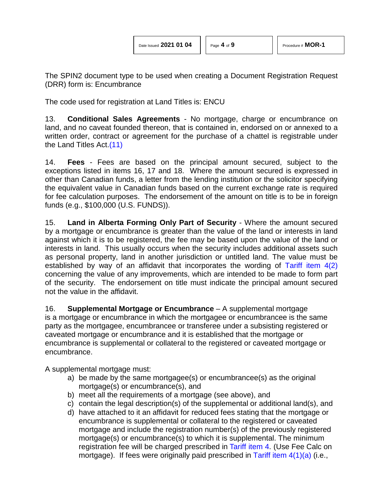The SPIN2 document type to be used when creating a Document Registration Request (DRR) form is: Encumbrance

The code used for registration at Land Titles is: ENCU

13. **Conditional Sales Agreements** - No mortgage, charge or encumbrance on land, and no caveat founded thereon, that is contained in, endorsed on or annexed to a written order, contract or agreement for the purchase of a chattel is registrable under the Land Titles Act[.\(11\)](#page-8-8)

<span id="page-3-0"></span>14. **Fees** - Fees are based on the principal amount secured, subject to the exceptions listed in items 16, 17 and 18. Where the amount secured is expressed in other than Canadian funds, a letter from the lending institution or the solicitor specifying the equivalent value in Canadian funds based on the current exchange rate is required for fee calculation purposes. The endorsement of the amount on title is to be in foreign funds (e.g., \$100,000 (U.S. FUNDS)).

15. **Land in Alberta Forming Only Part of Security** - Where the amount secured by a mortgage or encumbrance is greater than the value of the land or interests in land against which it is to be registered, the fee may be based upon the value of the land or interests in land. This usually occurs when the security includes additional assets such as personal property, land in another jurisdiction or untitled land. The value must be established by way of an affidavit that incorporates the wording of [Tariff item 4\(2\)](http://www.servicealberta.ca/pdf/ltmanual/APPENDIXI.PDF) concerning the value of any improvements, which are intended to be made to form part of the security. The endorsement on title must indicate the principal amount secured not the value in the affidavit.

16. **Supplemental Mortgage or Encumbrance** – A supplemental mortgage is a mortgage or encumbrance in which the mortgagee or encumbrancee is the same party as the mortgagee, encumbrancee or transferee under a subsisting registered or caveated mortgage or encumbrance and it is established that the mortgage or encumbrance is supplemental or collateral to the registered or caveated mortgage or encumbrance.

A supplemental mortgage must:

- a) be made by the same mortgagee(s) or encumbrancee(s) as the original mortgage(s) or encumbrance(s), and
- b) meet all the requirements of a mortgage (see above), and
- c) contain the legal description(s) of the supplemental or additional land(s), and
- d) have attached to it an affidavit for reduced fees stating that the mortgage or encumbrance is supplemental or collateral to the registered or caveated mortgage and include the registration number(s) of the previously registered mortgage(s) or encumbrance(s) to which it is supplemental. The minimum registration fee will be charged prescribed in [Tariff item](http://www.servicealberta.ca/pdf/ltmanual/APPENDIXI.PDF) 4. (Use Fee Calc on mortgage). If fees were originally paid prescribed in Tariff item  $4(1)(a)$  (i.e.,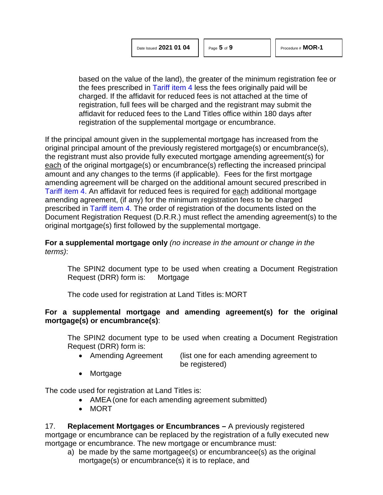based on the value of the land), the greater of the minimum registration fee or the fees prescribed in [Tariff item 4](http://www.servicealberta.ca/pdf/ltmanual/APPENDIXI.PDF) less the fees originally paid will be charged. If the affidavit for reduced fees is not attached at the time of registration, full fees will be charged and the registrant may submit the affidavit for reduced fees to the Land Titles office within 180 days after registration of the supplemental mortgage or encumbrance.

If the principal amount given in the supplemental mortgage has increased from the original principal amount of the previously registered mortgage(s) or encumbrance(s), the registrant must also provide fully executed mortgage amending agreement(s) for each of the original mortgage(s) or encumbrance(s) reflecting the increased principal amount and any changes to the terms (if applicable). Fees for the first mortgage amending agreement will be charged on the additional amount secured prescribed in [Tariff item 4.](http://www.servicealberta.ca/pdf/ltmanual/APPENDIXI.PDF) An affidavit for reduced fees is required for each additional mortgage amending agreement, (if any) for the minimum registration fees to be charged prescribed in [Tariff item 4.](http://www.servicealberta.ca/pdf/ltmanual/APPENDIXI.PDF) The order of registration of the documents listed on the Document Registration Request (D.R.R.) must reflect the amending agreement(s) to the original mortgage(s) first followed by the supplemental mortgage.

#### **For a supplemental mortgage only** *(no increase in the amount or change in the terms)*:

The SPIN2 document type to be used when creating a Document Registration Request (DRR) form is: Mortgage

The code used for registration at Land Titles is: MORT

## **For a supplemental mortgage and amending agreement(s) for the original mortgage(s) or encumbrance(s)**:

The SPIN2 document type to be used when creating a Document Registration Request (DRR) form is:

- Amending Agreement (list one for each amending agreement to be registered)
- Mortgage

The code used for registration at Land Titles is:

- AMEA (one for each amending agreement submitted)
- MORT

17. **Replacement Mortgages or Encumbrances –** A previously registered mortgage or encumbrance can be replaced by the registration of a fully executed new mortgage or encumbrance. The new mortgage or encumbrance must:

a) be made by the same mortgagee(s) or encumbrancee(s) as the original mortgage(s) or encumbrance(s) it is to replace, and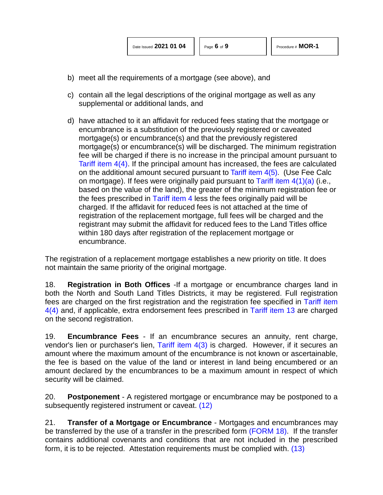- b) meet all the requirements of a mortgage (see above), and
- c) contain all the legal descriptions of the original mortgage as well as any supplemental or additional lands, and
- d) have attached to it an affidavit for reduced fees stating that the mortgage or encumbrance is a substitution of the previously registered or caveated mortgage(s) or encumbrance(s) and that the previously registered mortgage(s) or encumbrance(s) will be discharged. The minimum registration fee will be charged if there is no increase in the principal amount pursuant to [Tariff item](http://www.servicealberta.ca/pdf/ltmanual/APPENDIXI.PDF) 4(4). If the principal amount has increased, the fees are calculated on the additional amount secured pursuant to [Tariff item](http://www.servicealberta.ca/pdf/ltmanual/APPENDIXI.PDF) 4(5). (Use Fee Calc on mortgage). If fees were originally paid pursuant to Tariff item  $4(1)(a)$  (i.e., based on the value of the land), the greater of the minimum registration fee or the fees prescribed in [Tariff item 4](http://www.servicealberta.ca/pdf/ltmanual/APPENDIXI.PDF) less the fees originally paid will be charged. If the affidavit for reduced fees is not attached at the time of registration of the replacement mortgage, full fees will be charged and the registrant may submit the affidavit for reduced fees to the Land Titles office within 180 days after registration of the replacement mortgage or encumbrance.

The registration of a replacement mortgage establishes a new priority on title. It does not maintain the same priority of the original mortgage.

18. **Registration in Both Offices** -If a mortgage or encumbrance charges land in both the North and South Land Titles Districts, it may be registered. Full registration fees are charged on the first registration and the registration fee specified in [Tariff item](http://www.servicealberta.ca/pdf/ltmanual/APPENDIXI.PDF)  [4\(4\)](http://www.servicealberta.ca/pdf/ltmanual/APPENDIXI.PDF) and, if applicable, extra endorsement fees prescribed in [Tariff item 13](http://www.servicealberta.ca/pdf/ltmanual/APPENDIXI.PDF) are charged on the second registration.

19. **Encumbrance Fees** - If an encumbrance secures an annuity, rent charge, vendor's lien or purchaser's lien, Tariff item  $4(3)$  is charged. However, if it secures an amount where the maximum amount of the encumbrance is not known or ascertainable, the fee is based on the value of the land or interest in land being encumbered or an amount declared by the encumbrances to be a maximum amount in respect of which security will be claimed.

<span id="page-5-0"></span>20. **Postponement** - A registered mortgage or encumbrance may be postponed to a subsequently registered instrument or caveat. [\(12\)](#page-8-8)

<span id="page-5-1"></span>21. **Transfer of a Mortgage or Encumbrance** - Mortgages and encumbrances may be transferred by the use of a transfer in the prescribed form [\(FORM 18\).](http://www.servicealberta.ca/pdf/ltmanual/FORM18.PDF) If the transfer contains additional covenants and conditions that are not included in the prescribed form, it is to be rejected. Attestation requirements must be complied with. [\(13\)](#page-8-8)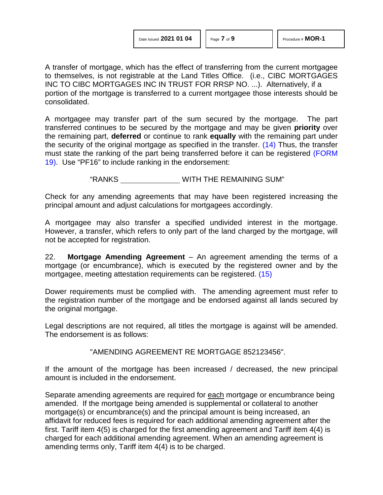A transfer of mortgage, which has the effect of transferring from the current mortgagee to themselves, is not registrable at the Land Titles Office. (i.e., CIBC MORTGAGES INC TO CIBC MORTGAGES INC IN TRUST FOR RRSP NO. ...). Alternatively, if a portion of the mortgage is transferred to a current mortgagee those interests should be consolidated.

A mortgagee may transfer part of the sum secured by the mortgage. The part transferred continues to be secured by the mortgage and may be given **priority** over the remaining part, **deferred** or continue to rank **equally** with the remaining part under the security of the original mortgage as specified in the transfer. [\(14\)](#page-8-8) Thus, the transfer must state the ranking of the part being transferred before it can be registered [\(FORM](http://www.servicealberta.ca/pdf/ltmanual/FORM19.pdf)  [19\).](http://www.servicealberta.ca/pdf/ltmanual/FORM19.pdf) Use "PF16" to include ranking in the endorsement:

<span id="page-6-0"></span>"RANKS WITH THE REMAINING SUM"

Check for any amending agreements that may have been registered increasing the principal amount and adjust calculations for mortgagees accordingly.

A mortgagee may also transfer a specified undivided interest in the mortgage. However, a transfer, which refers to only part of the land charged by the mortgage, will not be accepted for registration.

22. **Mortgage Amending Agreement** – An agreement amending the terms of a mortgage (or encumbrance), which is executed by the registered owner and by the mortgagee, meeting attestation requirements can be registered. [\(15\)](#page-8-8)

Dower requirements must be complied with. The amending agreement must refer to the registration number of the mortgage and be endorsed against all lands secured by the original mortgage.

Legal descriptions are not required, all titles the mortgage is against will be amended. The endorsement is as follows:

<span id="page-6-1"></span>"AMENDING AGREEMENT RE MORTGAGE 852123456".

If the amount of the mortgage has been increased / decreased, the new principal amount is included in the endorsement.

Separate amending agreements are required for each mortgage or encumbrance being amended. If the mortgage being amended is supplemental or collateral to another mortgage(s) or encumbrance(s) and the principal amount is being increased, an affidavit for reduced fees is required for each additional amending agreement after the first. Tariff item 4(5) is charged for the first amending agreement and Tariff item 4(4) is charged for each additional amending agreement. When an amending agreement is amending terms only, Tariff item 4(4) is to be charged.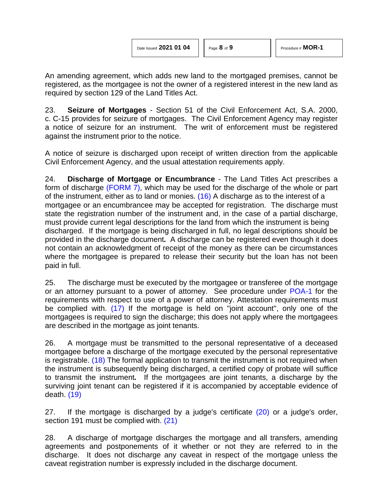<span id="page-7-0"></span>

An amending agreement, which adds new land to the mortgaged premises, cannot be registered, as the mortgagee is not the owner of a registered interest in the new land as required by section 129 of the Land Titles Act.

23. **Seizure of Mortgages** - Section 51 of the Civil Enforcement Act, S.A. 2000, c. C-15 provides for seizure of mortgages. The Civil Enforcement Agency may register a notice of seizure for an instrument. The writ of enforcement must be registered against the instrument prior to the notice.

A notice of seizure is discharged upon receipt of written direction from the applicable Civil Enforcement Agency, and the usual attestation requirements apply.

24. **Discharge of Mortgage or Encumbrance** - The Land Titles Act prescribes a form of discharge [\(FORM 7\),](http://www.servicealberta.ca/pdf/ltmanual/FORM7.PDF) which may be used for the discharge of the whole or part of the instrument, either as to land or monies. [\(16\)](#page-8-8) A discharge as to the interest of a mortgagee or an encumbrancee may be accepted for registration. The discharge must state the registration number of the instrument and, in the case of a partial discharge, must provide current legal descriptions for the land from which the instrument is being discharged. If the mortgage is being discharged in full, no legal descriptions should be provided in the discharge document*.* A discharge can be registered even though it does not contain an acknowledgment of receipt of the money as there can be circumstances where the mortgagee is prepared to release their security but the loan has not been paid in full.

<span id="page-7-1"></span>25. The discharge must be executed by the mortgagee or transferee of the mortgage or an attorney pursuant to a power of attorney. See procedure under [POA-1](http://www.servicealberta.ca/pdf/ltmanual/POA-1.pdf) for the requirements with respect to use of a power of attorney. Attestation requirements must be complied with. [\(17\)](#page-8-8) If the mortgage is held on "joint account", only one of the mortgagees is required to sign the discharge; this does not apply where the mortgagees are described in the mortgage as joint tenants.

<span id="page-7-2"></span>26. A mortgage must be transmitted to the personal representative of a deceased mortgagee before a discharge of the mortgage executed by the personal representative is registrable. [\(18\)](#page-8-8) The formal application to transmit the instrument is not required when the instrument is subsequently being discharged, a certified copy of probate will suffice to transmit the instrument*.* If the mortgagees are joint tenants, a discharge by the surviving joint tenant can be registered if it is accompanied by acceptable evidence of death. [\(19\)](#page-8-8)

<span id="page-7-5"></span><span id="page-7-4"></span><span id="page-7-3"></span>27. If the mortgage is discharged by a judge's certificate [\(20\)](#page-8-8) or a judge's order, section 191 must be complied with. [\(21\)](#page-8-8)

28. A discharge of mortgage discharges the mortgage and all transfers, amending agreements and postponements of it whether or not they are referred to in the discharge. It does not discharge any caveat in respect of the mortgage unless the caveat registration number is expressly included in the discharge document.